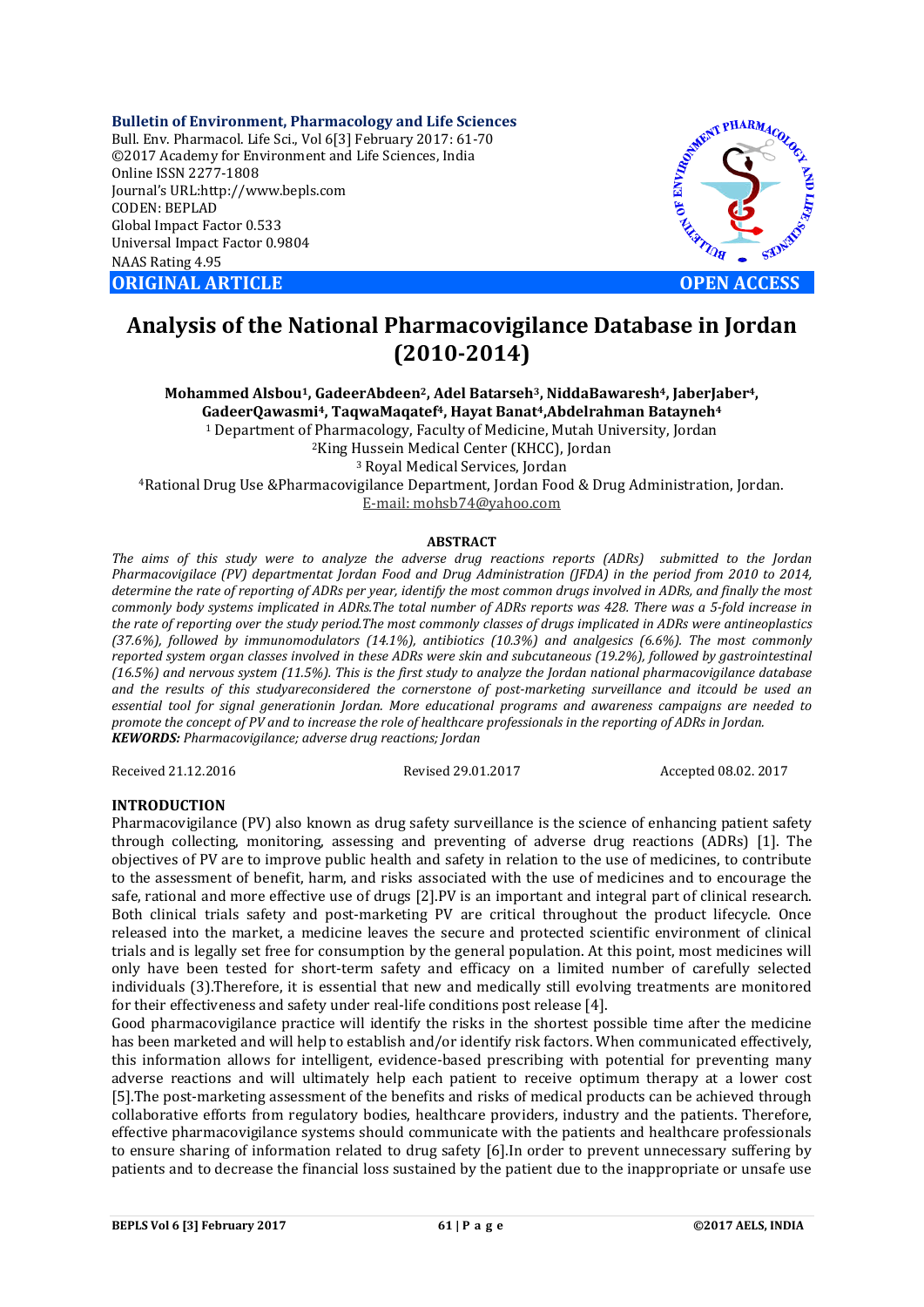**Bulletin of Environment, Pharmacology and Life Sciences** Bull. Env. Pharmacol. Life Sci., Vol 6[3] February 2017: 61-70 ©2017 Academy for Environment and Life Sciences, India Online ISSN 2277-1808 Journal's URL:http://www.bepls.com CODEN: BEPLAD Global Impact Factor 0.533 Universal Impact Factor 0.9804 NAAS Rating 4.95 **ORIGINAL ARTICLE OPEN ACCESS** 



# **Analysis of the National Pharmacovigilance Database in Jordan (2010-2014)**

**Mohammed Alsbou1, GadeerAbdeen2, Adel Batarseh3, NiddaBawaresh4, JaberJaber4, GadeerQawasmi4, TaqwaMaqatef4, Hayat Banat4,Abdelrahman Batayneh4** <sup>1</sup> Department of Pharmacology, Faculty of Medicine, Mutah University, Jordan 2King Hussein Medical Center (KHCC), Jordan <sup>3</sup> Royal Medical Services, Jordan 4Rational Drug Use &Pharmacovigilance Department, Jordan Food & Drug Administration, Jordan. E-mail: mohsb74@yahoo.com

#### **ABSTRACT**

*The aims of this study were to analyze the adverse drug reactions reports (ADRs) submitted to the Jordan Pharmacovigilace (PV) departmentat Jordan Food and Drug Administration (JFDA) in the period from 2010 to 2014, determine the rate of reporting of ADRs per year, identify the most common drugs involved in ADRs, and finally the most commonly body systems implicated in ADRs.The total number of ADRs reports was 428. There was a 5-fold increase in the rate of reporting over the study period.The most commonly classes of drugs implicated in ADRs were antineoplastics (37.6%), followed by immunomodulators (14.1%), antibiotics (10.3%) and analgesics (6.6%). The most commonly reported system organ classes involved in these ADRs were skin and subcutaneous (19.2%), followed by gastrointestinal (16.5%) and nervous system (11.5%). This is the first study to analyze the Jordan national pharmacovigilance database and the results of this studyareconsidered the cornerstone of post-marketing surveillance and itcould be used an essential tool for signal generationin Jordan. More educational programs and awareness campaigns are needed to promote the concept of PV and to increase the role of healthcare professionals in the reporting of ADRs in Jordan. KEWORDS: Pharmacovigilance; adverse drug reactions; Jordan*

Received 21.12.2016 Revised 29.01.2017 Accepted 08.02. 2017

# **INTRODUCTION**

Pharmacovigilance (PV) also known as drug safety surveillance is the science of enhancing patient safety through collecting, monitoring, assessing and preventing of adverse drug reactions (ADRs) [1]. The objectives of PV are to improve public health and safety in relation to the use of medicines, to contribute to the assessment of benefit, harm, and risks associated with the use of medicines and to encourage the safe, rational and more effective use of drugs [2].PV is an important and integral part of clinical research. Both clinical trials safety and post-marketing PV are critical throughout the product lifecycle. Once released into the market, a medicine leaves the secure and protected scientific environment of clinical trials and is legally set free for consumption by the general population. At this point, most medicines will only have been tested for short-term safety and efficacy on a limited number of carefully selected individuals (3).Therefore, it is essential that new and medically still evolving treatments are monitored for their effectiveness and safety under real-life conditions post release [4].

Good pharmacovigilance practice will identify the risks in the shortest possible time after the medicine has been marketed and will help to establish and/or identify risk factors. When communicated effectively, this information allows for intelligent, evidence-based prescribing with potential for preventing many adverse reactions and will ultimately help each patient to receive optimum therapy at a lower cost [5].The post-marketing assessment of the benefits and risks of medical products can be achieved through collaborative efforts from regulatory bodies, healthcare providers, industry and the patients. Therefore, effective pharmacovigilance systems should communicate with the patients and healthcare professionals to ensure sharing of information related to drug safety [6].In order to prevent unnecessary suffering by patients and to decrease the financial loss sustained by the patient due to the inappropriate or unsafe use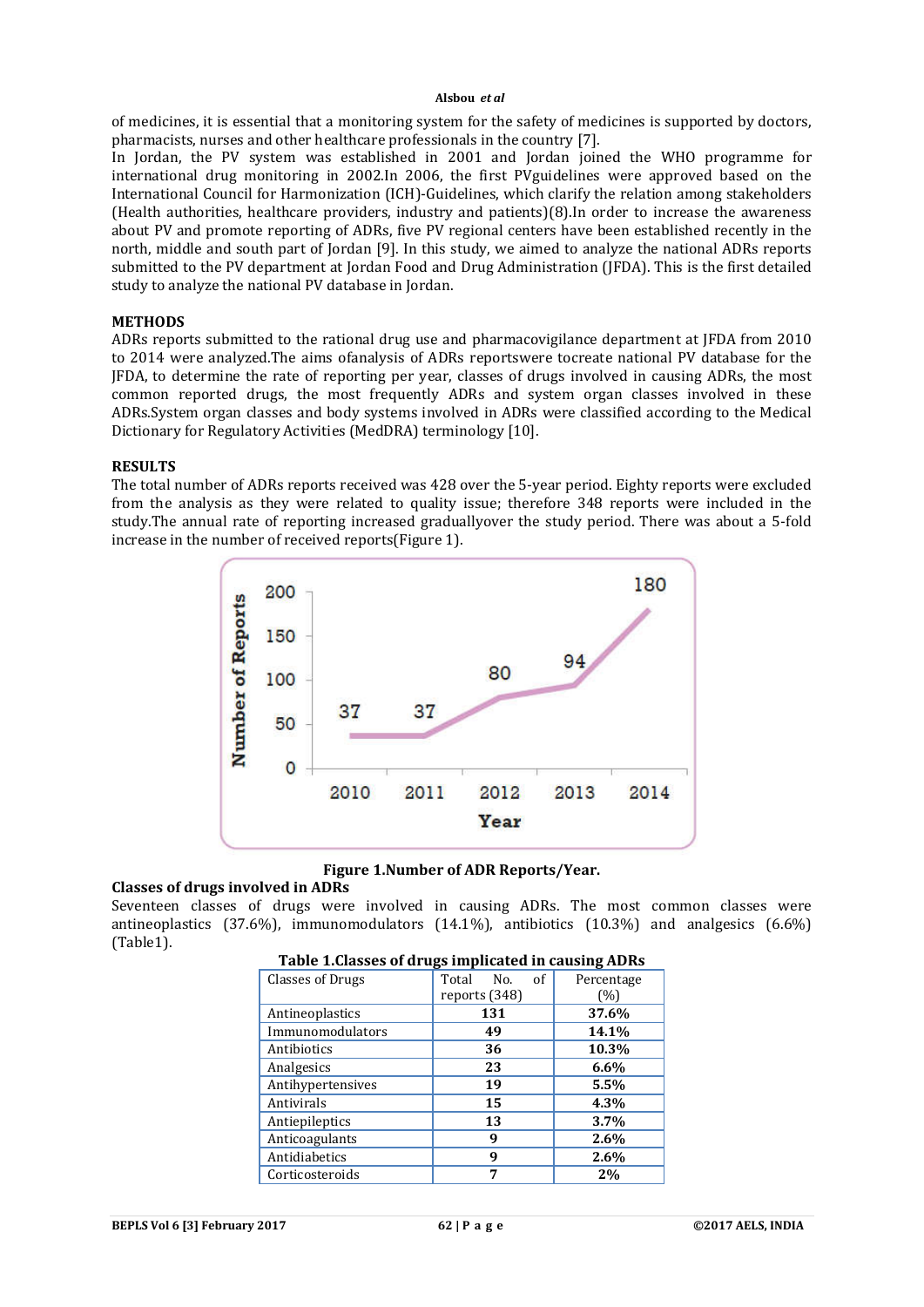of medicines, it is essential that a monitoring system for the safety of medicines is supported by doctors, pharmacists, nurses and other healthcare professionals in the country [7].

In Jordan, the PV system was established in 2001 and Jordan joined the WHO programme for international drug monitoring in 2002.In 2006, the first PVguidelines were approved based on the International Council for Harmonization (ICH)-Guidelines, which clarify the relation among stakeholders (Health authorities, healthcare providers, industry and patients)(8).In order to increase the awareness about PV and promote reporting of ADRs, five PV regional centers have been established recently in the north, middle and south part of Jordan [9]. In this study, we aimed to analyze the national ADRs reports submitted to the PV department at Jordan Food and Drug Administration (JFDA). This is the first detailed study to analyze the national PV database in Jordan.

#### **METHODS**

ADRs reports submitted to the rational drug use and pharmacovigilance department at JFDA from 2010 to 2014 were analyzed.The aims ofanalysis of ADRs reportswere tocreate national PV database for the JFDA, to determine the rate of reporting per year, classes of drugs involved in causing ADRs, the most common reported drugs, the most frequently ADRs and system organ classes involved in these ADRs.System organ classes and body systems involved in ADRs were classified according to the Medical Dictionary for Regulatory Activities (MedDRA) terminology [10].

#### **RESULTS**

The total number of ADRs reports received was 428 over the 5-year period. Eighty reports were excluded from the analysis as they were related to quality issue; therefore 348 reports were included in the study.The annual rate of reporting increased graduallyover the study period. There was about a 5-fold increase in the number of received reports(Figure 1).



**Figure 1.Number of ADR Reports/Year.**

#### **Classes of drugs involved in ADRs**

Seventeen classes of drugs were involved in causing ADRs. The most common classes were antineoplastics (37.6%), immunomodulators (14.1%), antibiotics (10.3%) and analgesics (6.6%) (Table1).

|                         | --                 | o          |
|-------------------------|--------------------|------------|
| <b>Classes of Drugs</b> | of<br>Total<br>No. | Percentage |
|                         | reports (348)      | (%)        |
| Antineoplastics         | 131                | 37.6%      |
| Immunomodulators        | 49                 | 14.1%      |
| Antibiotics             | 36                 | 10.3%      |
| Analgesics              | 23                 | 6.6%       |
| Antihypertensives       | 19                 | 5.5%       |
| Antivirals              | 15                 | 4.3%       |
| Antiepileptics          | 13                 | 3.7%       |
| Anticoagulants          | 9                  | 2.6%       |
| Antidiabetics           | 9                  | 2.6%       |
| Corticosteroids         |                    | 2%         |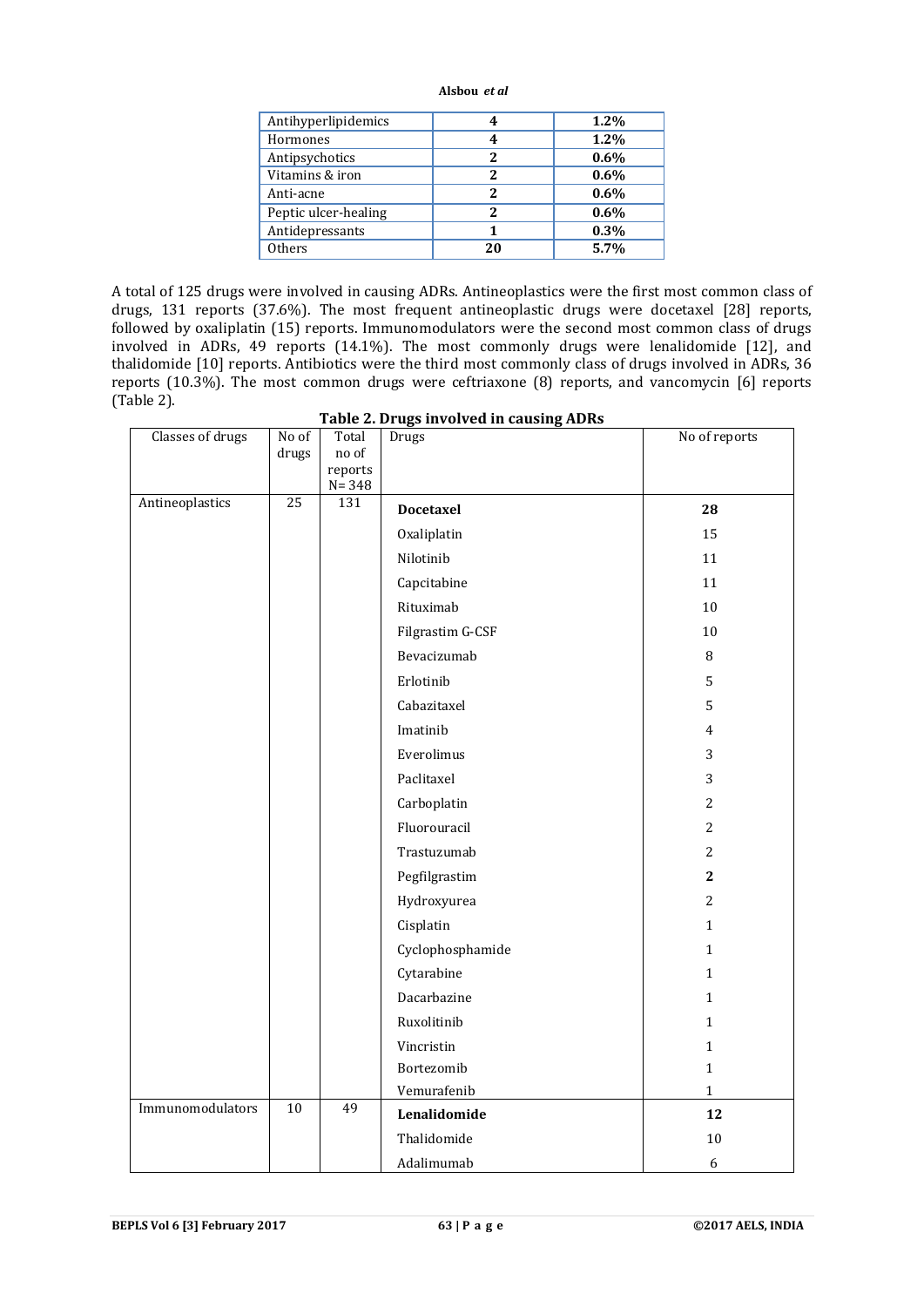| Antihyperlipidemics  | 4  | 1.2% |
|----------------------|----|------|
| Hormones             | 4  | 1.2% |
| Antipsychotics       | 2  | 0.6% |
| Vitamins & iron      |    | 0.6% |
| Anti-acne            | 2  | 0.6% |
| Peptic ulcer-healing |    | 0.6% |
| Antidepressants      |    | 0.3% |
| <b>Others</b>        | 20 | 5.7% |

A total of 125 drugs were involved in causing ADRs. Antineoplastics were the first most common class of drugs, 131 reports (37.6%). The most frequent antineoplastic drugs were docetaxel [28] reports, followed by oxaliplatin (15) reports. Immunomodulators were the second most common class of drugs involved in ADRs, 49 reports (14.1%). The most commonly drugs were lenalidomide [12], and thalidomide [10] reports. Antibiotics were the third most commonly class of drugs involved in ADRs, 36 reports (10.3%). The most common drugs were ceftriaxone (8) reports, and vancomycin [6] reports (Table 2).

**Table 2. Drugs involved in causing ADRs**

| Classes of drugs | No of           | Total            | Drugs            | No of reports  |
|------------------|-----------------|------------------|------------------|----------------|
|                  | drugs           | no of<br>reports |                  |                |
|                  |                 | $N = 348$        |                  |                |
| Antineoplastics  | $\overline{25}$ | 131              | <b>Docetaxel</b> | 28             |
|                  |                 |                  | Oxaliplatin      | 15             |
|                  |                 |                  | Nilotinib        | 11             |
|                  |                 |                  | Capcitabine      | 11             |
|                  |                 |                  | Rituximab        | 10             |
|                  |                 |                  | Filgrastim G-CSF | $10\,$         |
|                  |                 |                  | Bevacizumab      | $\, 8$         |
|                  |                 |                  | Erlotinib        | 5              |
|                  |                 |                  | Cabazitaxel      | 5              |
|                  |                 |                  | Imatinib         | $\overline{4}$ |
|                  |                 |                  | Everolimus       | 3              |
|                  |                 |                  | Paclitaxel       | 3              |
|                  |                 |                  | Carboplatin      | $\overline{c}$ |
|                  |                 |                  | Fluorouracil     | $\overline{2}$ |
|                  |                 |                  | Trastuzumab      | $\overline{2}$ |
|                  |                 |                  | Pegfilgrastim    | $\mathbf{2}$   |
|                  |                 |                  | Hydroxyurea      | $\overline{2}$ |
|                  |                 |                  | Cisplatin        | $\mathbf{1}$   |
|                  |                 |                  | Cyclophosphamide | $\mathbf{1}$   |
|                  |                 |                  | Cytarabine       | $\mathbf{1}$   |
|                  |                 |                  | Dacarbazine      | $\mathbf{1}$   |
|                  |                 |                  | Ruxolitinib      | $\mathbf{1}$   |
|                  |                 |                  | Vincristin       | $\mathbf{1}$   |
|                  |                 |                  | Bortezomib       | $\mathbf{1}$   |
|                  |                 |                  | Vemurafenib      | $\mathbf{1}$   |
| Immunomodulators | $\overline{10}$ | 49               | Lenalidomide     | 12             |
|                  |                 |                  | Thalidomide      | $10\,$         |
|                  |                 |                  | Adalimumab       | 6              |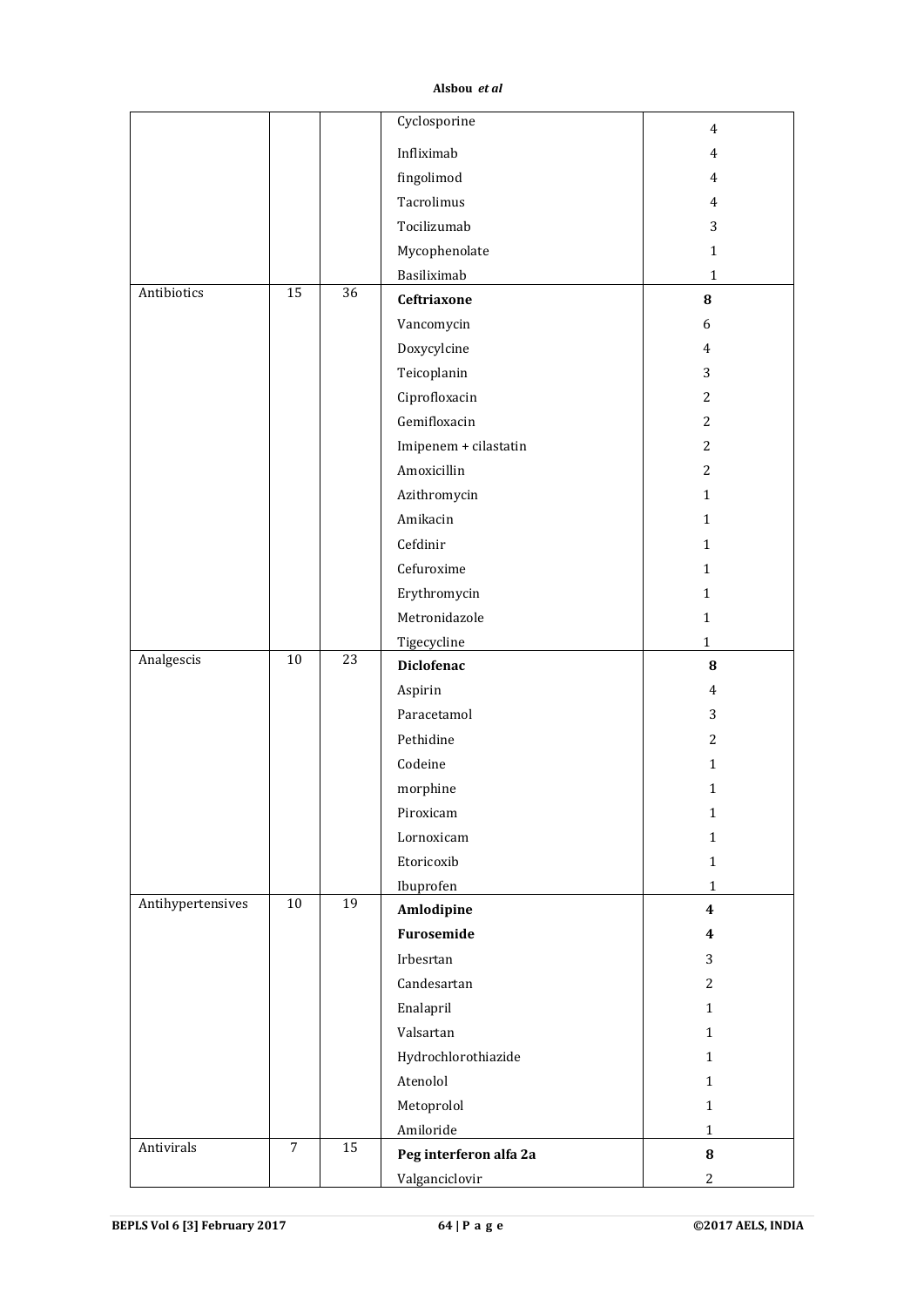|                   |                 |                 | Cyclosporine           | $\overline{4}$   |
|-------------------|-----------------|-----------------|------------------------|------------------|
|                   |                 |                 | Infliximab             | $\overline{4}$   |
|                   |                 |                 | fingolimod             | $\overline{4}$   |
|                   |                 |                 | Tacrolimus             | $\overline{4}$   |
|                   |                 |                 | Tocilizumab            | 3                |
|                   |                 |                 | Mycophenolate          | $\mathbf{1}$     |
|                   |                 |                 | Basiliximab            | $\mathbf 1$      |
| Antibiotics       | 15              | 36              | Ceftriaxone            | 8                |
|                   |                 |                 | Vancomycin             | 6                |
|                   |                 |                 | Doxycylcine            | $\overline{4}$   |
|                   |                 |                 | Teicoplanin            | 3                |
|                   |                 |                 | Ciprofloxacin          | $\overline{c}$   |
|                   |                 |                 | Gemifloxacin           | 2                |
|                   |                 |                 | Imipenem + cilastatin  | $\overline{2}$   |
|                   |                 |                 | Amoxicillin            | 2                |
|                   |                 |                 | Azithromycin           | $\mathbf{1}$     |
|                   |                 |                 | Amikacin               | $\mathbf{1}$     |
|                   |                 |                 | Cefdinir               | $\mathbf{1}$     |
|                   |                 |                 | Cefuroxime             | $\mathbf{1}$     |
|                   |                 |                 | Erythromycin           | $\mathbf{1}$     |
|                   |                 |                 | Metronidazole          | $\mathbf{1}$     |
|                   |                 |                 | Tigecycline            | $\mathbf{1}$     |
| Analgescis        | $\overline{10}$ | $\overline{23}$ | <b>Diclofenac</b>      | 8                |
|                   |                 |                 | Aspirin                | $\overline{4}$   |
|                   |                 |                 | Paracetamol            | 3                |
|                   |                 |                 | Pethidine              | $\overline{2}$   |
|                   |                 |                 | Codeine                | $\mathbf{1}$     |
|                   |                 |                 | morphine               | $\mathbf{1}$     |
|                   |                 |                 | Piroxicam              | $\mathbf{1}$     |
|                   |                 |                 | Lornoxicam             | $\mathbf{1}$     |
|                   |                 |                 | Etoricoxib             | $\mathbf{1}$     |
|                   |                 |                 | Ibuprofen              | $\mathbf{1}$     |
| Antihypertensives | 10              | 19              | Amlodipine             | $\boldsymbol{4}$ |
|                   |                 |                 | Furosemide             | 4                |
|                   |                 |                 | Irbesrtan              | 3                |
|                   |                 |                 | Candesartan            | $\overline{2}$   |
|                   |                 |                 | Enalapril              | $\mathbf{1}$     |
|                   |                 |                 | Valsartan              | $\mathbf{1}$     |
|                   |                 |                 | Hydrochlorothiazide    | $\mathbf{1}$     |
|                   |                 |                 | Atenolol               | $\mathbf{1}$     |
|                   |                 |                 | Metoprolol             | $\mathbf{1}$     |
|                   |                 |                 | Amiloride              | $\mathbf{1}$     |
| Antivirals        | $\overline{7}$  | 15              | Peg interferon alfa 2a | $\bf{8}$         |
|                   |                 |                 | Valganciclovir         | $\mathbf{2}$     |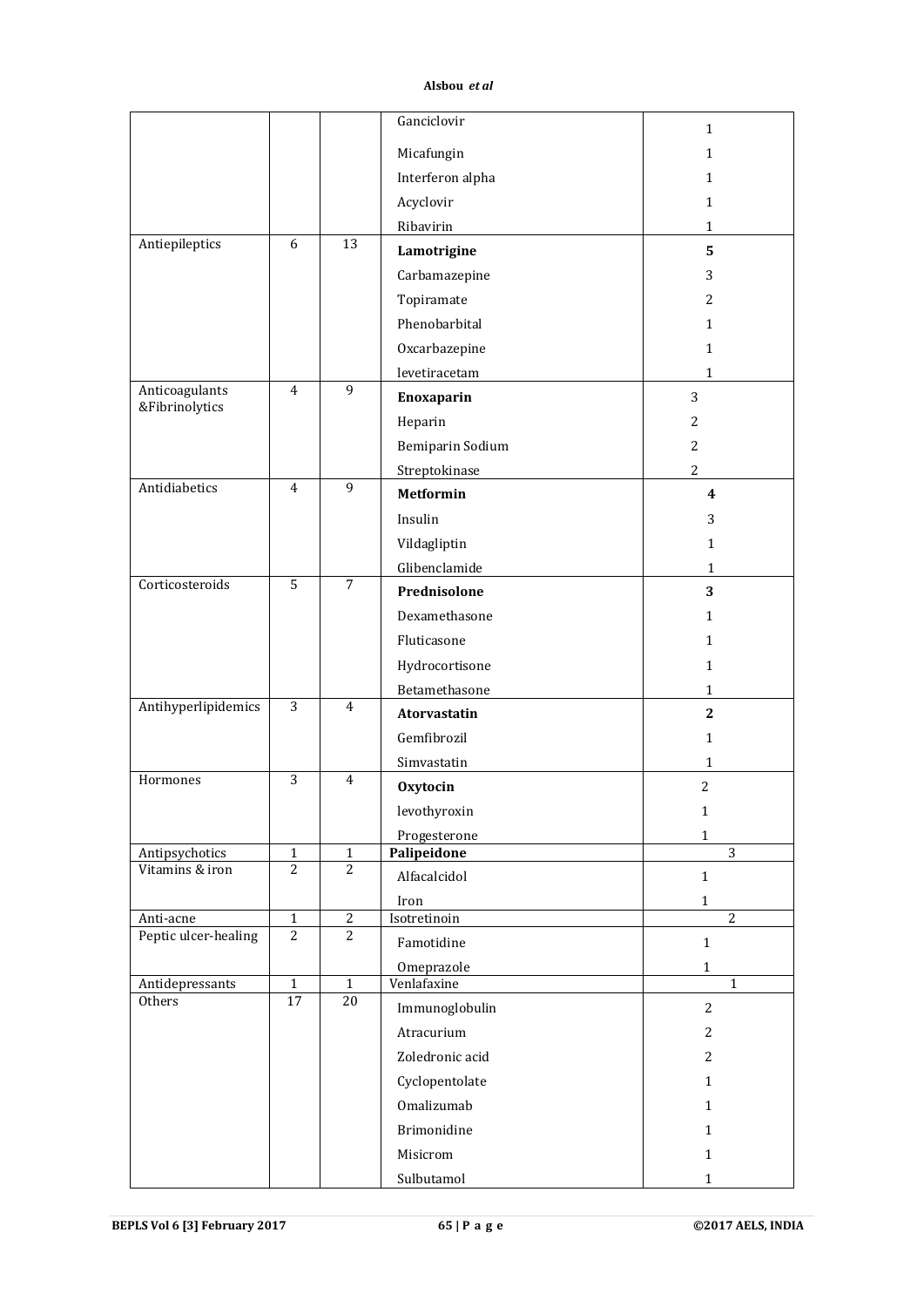|                                   |                                |                                  | Ganciclovir               | $\mathbf 1$                  |
|-----------------------------------|--------------------------------|----------------------------------|---------------------------|------------------------------|
|                                   |                                |                                  | Micafungin                | $\mathbf 1$                  |
|                                   |                                |                                  | Interferon alpha          | 1                            |
|                                   |                                |                                  | Acyclovir                 | $\mathbf{1}$                 |
|                                   |                                |                                  | Ribavirin                 | $\mathbf{1}$                 |
| Antiepileptics                    | 6                              | 13                               | Lamotrigine               | 5                            |
|                                   |                                |                                  | Carbamazepine             | 3                            |
|                                   |                                |                                  | Topiramate                | $\overline{2}$               |
|                                   |                                |                                  | Phenobarbital             |                              |
|                                   |                                |                                  |                           | $\mathbf{1}$                 |
|                                   |                                |                                  | Oxcarbazepine             | $\mathbf{1}$                 |
| Anticoagulants                    | $\overline{4}$                 | 9                                | levetiracetam             | $\mathbf{1}$                 |
| &Fibrinolytics                    |                                |                                  | Enoxaparin                | 3                            |
|                                   |                                |                                  | Heparin                   | 2                            |
|                                   |                                |                                  | Bemiparin Sodium          | $\overline{2}$               |
| Antidiabetics                     | $\overline{4}$                 | $\overline{9}$                   | Streptokinase             | $\overline{2}$               |
|                                   |                                |                                  | <b>Metformin</b>          | 4                            |
|                                   |                                |                                  | Insulin                   | 3                            |
|                                   |                                |                                  | Vildagliptin              | $\mathbf{1}$                 |
|                                   |                                |                                  | Glibenclamide             | $\mathbf{1}$                 |
| Corticosteroids                   | $\overline{5}$                 | $\overline{7}$                   | Prednisolone              | 3                            |
|                                   |                                |                                  | Dexamethasone             | $\mathbf{1}$                 |
|                                   |                                |                                  | Fluticasone               | $\mathbf{1}$                 |
|                                   |                                |                                  | Hydrocortisone            | $\mathbf{1}$                 |
|                                   |                                |                                  | Betamethasone             | $\mathbf{1}$                 |
| Antihyperlipidemics               | 3                              | 4                                | Atorvastatin              | $\mathbf{2}$                 |
|                                   |                                |                                  | Gemfibrozil               | $\mathbf{1}$                 |
|                                   |                                |                                  | Simvastatin               | 1                            |
| Hormones                          | $\overline{3}$                 | 4                                | <b>Oxytocin</b>           | $\overline{2}$               |
|                                   |                                |                                  | levothyroxin              | $\mathbf{1}$                 |
|                                   |                                |                                  | Progesterone              | $\mathbf 1$                  |
| Antipsychotics                    | $\mathbf{1}$                   | $\mathbf{1}$                     | Palipeidone               | $\overline{3}$               |
| Vitamins & iron                   | 2                              | 2                                | Alfacalcidol              | $\mathbf{1}$                 |
|                                   |                                |                                  | Iron                      | $\mathbf 1$                  |
| Anti-acne<br>Peptic ulcer-healing | $\mathbf{1}$<br>$\overline{2}$ | $\overline{2}$<br>$\overline{2}$ | Isotretinoin              | $\overline{2}$               |
|                                   |                                |                                  | Famotidine                | $\mathbf{1}$                 |
| Antidepressants                   | $\mathbf 1$                    | $\mathbf{1}$                     | Omeprazole<br>Venlafaxine | $\mathbf{1}$<br>$\mathbf{1}$ |
| Others                            | $\overline{17}$                | 20                               | Immunoglobulin            | $\overline{c}$               |
|                                   |                                |                                  | Atracurium                | 2                            |
|                                   |                                |                                  | Zoledronic acid           | 2                            |
|                                   |                                |                                  |                           |                              |
|                                   |                                |                                  | Cyclopentolate            | $\mathbf{1}$                 |
|                                   |                                |                                  | Omalizumab                | $\mathbf{1}$                 |
|                                   |                                |                                  | Brimonidine               | $\mathbf{1}$                 |
|                                   |                                |                                  | Misicrom                  | $\mathbf{1}$                 |
|                                   |                                |                                  | Sulbutamol                | $\mathbf{1}$                 |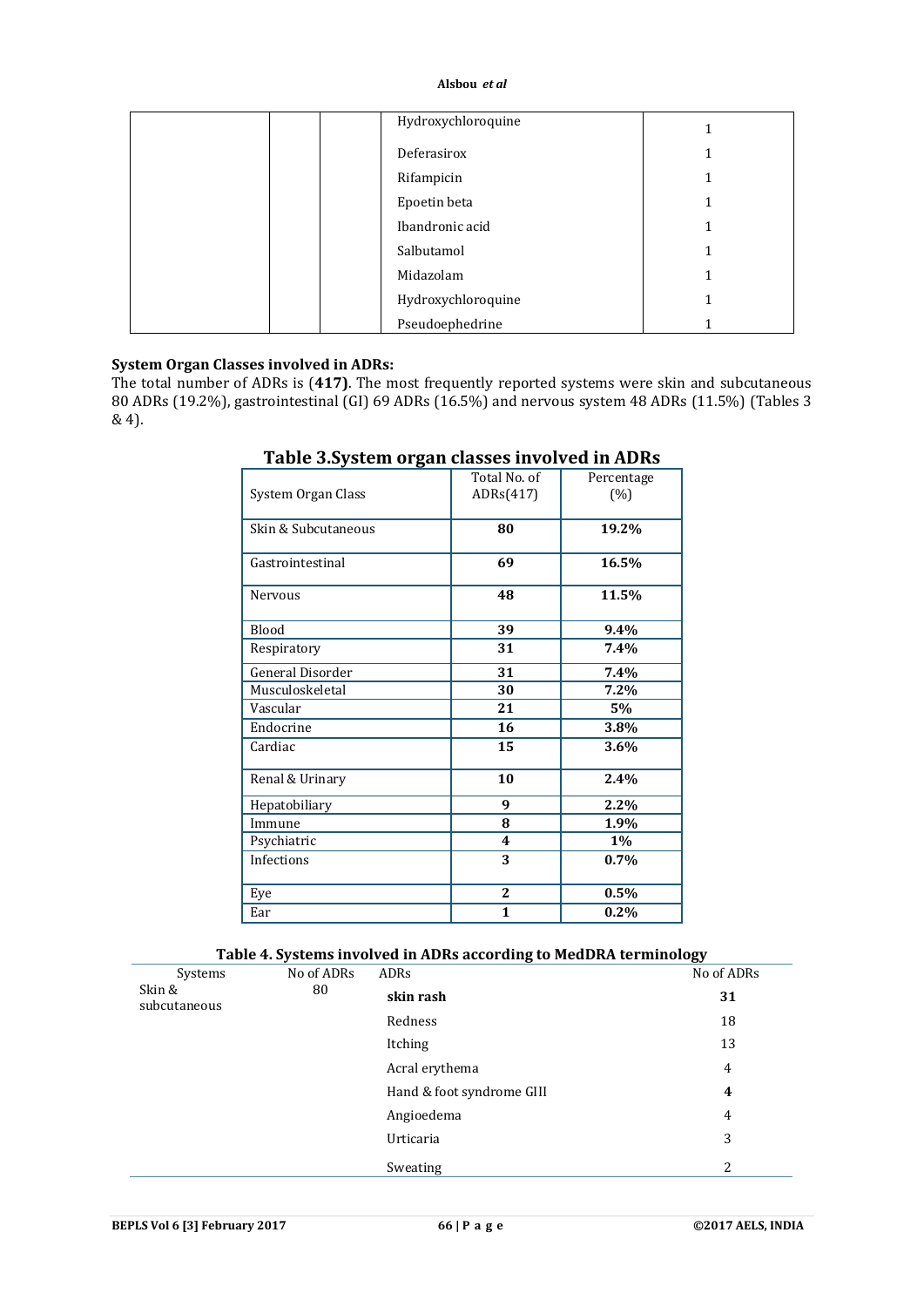| Hydroxychloroquine |  |
|--------------------|--|
| Deferasirox        |  |
| Rifampicin         |  |
| Epoetin beta       |  |
| Ibandronic acid    |  |
| Salbutamol         |  |
| Midazolam          |  |
| Hydroxychloroquine |  |
| Pseudoephedrine    |  |

# **System Organ Classes involved in ADRs:**

The total number of ADRs is (**417)**. The most frequently reported systems were skin and subcutaneous 80 ADRs (19.2%), gastrointestinal (GI) 69 ADRs (16.5%) and nervous system 48 ADRs (11.5%) (Tables 3 & 4).

| System Organ Class  | Total No. of<br>ADRs(417) | Percentage<br>(%) |
|---------------------|---------------------------|-------------------|
| Skin & Subcutaneous | 80                        | 19.2%             |
| Gastrointestinal    | 69                        | 16.5%             |
| <b>Nervous</b>      | 48                        | 11.5%             |
| <b>Blood</b>        | 39                        | $9.4\%$           |
| Respiratory         | 31                        | 7.4%              |
| General Disorder    | 31                        | 7.4%              |
| Musculoskeletal     | 30                        | 7.2%              |
| Vascular            | 21                        | 5%                |
| Endocrine           | 16                        | 3.8%              |
| Cardiac             | 15                        | 3.6%              |
| Renal & Urinary     | 10                        | 2.4%              |
| Hepatobiliary       | 9                         | 2.2%              |
| Immune              | 8                         | 1.9%              |
| Psychiatric         | 4                         | $1\%$             |
| <b>Infections</b>   | 3                         | 0.7%              |
| Eye                 | $\mathbf{2}$              | 0.5%              |
| Ear                 | 1                         | 0.2%              |

# **Table 3.System organ classes involved in ADRs**

# **Table 4. Systems involved in ADRs according to MedDRA terminology**

|                                   | u          | $\tilde{\phantom{a}}$     | ້              |
|-----------------------------------|------------|---------------------------|----------------|
| Systems<br>Skin &<br>subcutaneous | No of ADRs | ADRs                      | No of ADRs     |
|                                   | 80         | skin rash                 | 31             |
|                                   |            | Redness                   | 18             |
|                                   |            | Itching                   | 13             |
|                                   |            | Acral erythema            | $\overline{4}$ |
|                                   |            | Hand & foot syndrome GIII | 4              |
|                                   |            | Angioedema                | $\overline{4}$ |
|                                   |            | Urticaria                 | 3              |
|                                   |            | Sweating                  | 2              |
|                                   |            |                           |                |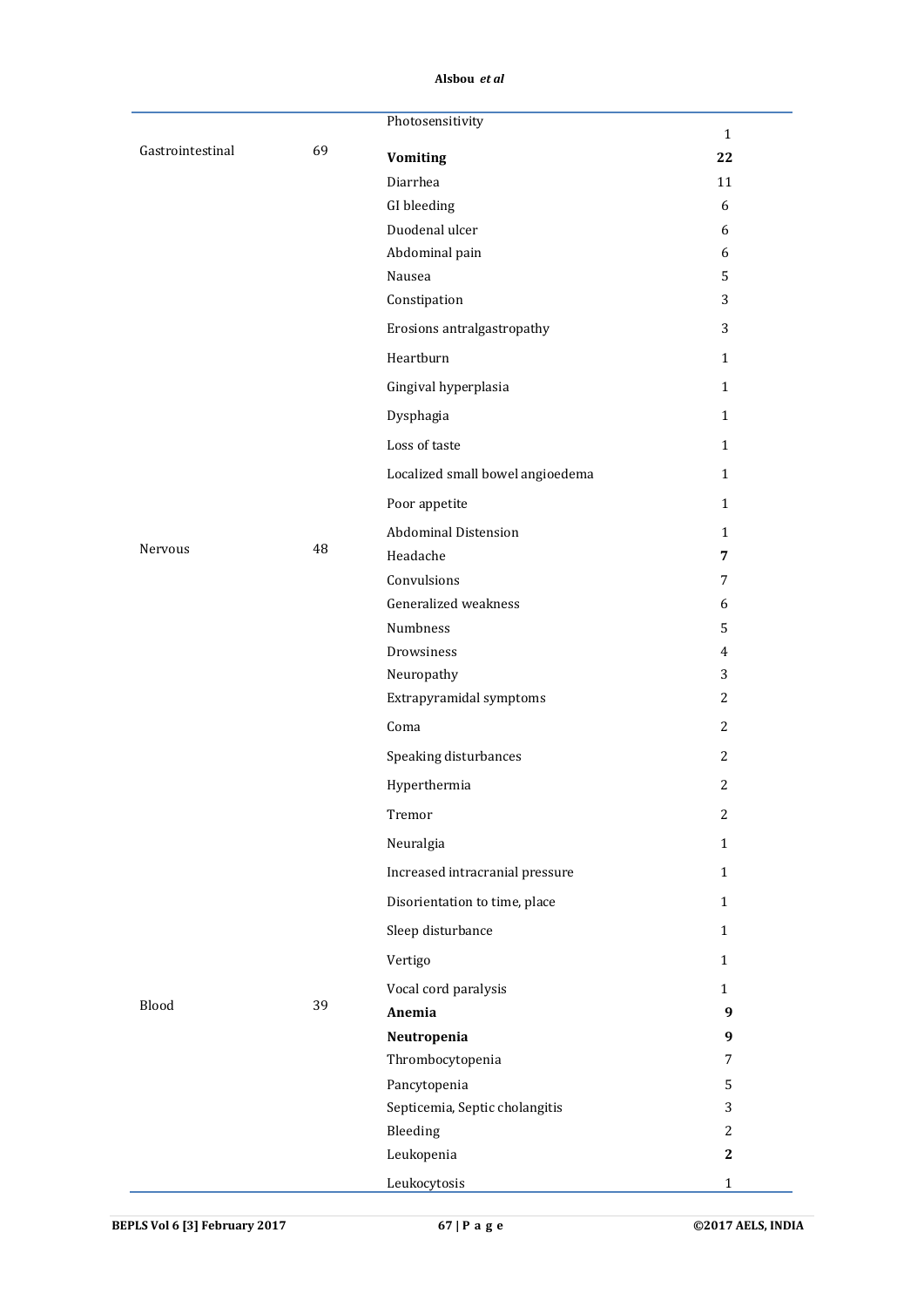|                  |    | Photosensitivity                 | $\mathbf{1}$     |
|------------------|----|----------------------------------|------------------|
| Gastrointestinal | 69 | <b>Vomiting</b>                  | 22               |
|                  |    | Diarrhea                         | 11               |
|                  |    | GI bleeding                      | 6                |
|                  |    | Duodenal ulcer                   | 6                |
|                  |    | Abdominal pain                   | 6                |
|                  |    | Nausea                           | 5                |
|                  |    | Constipation                     | 3                |
|                  |    | Erosions antralgastropathy       | 3                |
|                  |    | Heartburn                        | $\mathbf{1}$     |
|                  |    | Gingival hyperplasia             | $\mathbf{1}$     |
|                  |    | Dysphagia                        | $1\,$            |
|                  |    | Loss of taste                    | $\mathbf{1}$     |
|                  |    | Localized small bowel angioedema | $\mathbf{1}$     |
|                  |    | Poor appetite                    | $\mathbf{1}$     |
|                  |    | <b>Abdominal Distension</b>      | $\mathbf{1}$     |
| Nervous          | 48 | Headache                         | 7                |
|                  |    | Convulsions                      | $\overline{7}$   |
|                  |    | Generalized weakness             | 6                |
|                  |    | Numbness                         | 5                |
|                  |    | Drowsiness                       | $\overline{4}$   |
|                  |    | Neuropathy                       | 3                |
|                  |    | Extrapyramidal symptoms          | $\overline{2}$   |
|                  |    | Coma                             | 2                |
|                  |    | Speaking disturbances            | 2                |
|                  |    | Hyperthermia                     | $\overline{c}$   |
|                  |    | Tremor                           | $\boldsymbol{2}$ |
|                  |    | Neuralgia                        | $\mathbf{1}$     |
|                  |    | Increased intracranial pressure  | $\mathbf{1}$     |
|                  |    | Disorientation to time, place    | $\mathbf{1}$     |
|                  |    | Sleep disturbance                | $\mathbf{1}$     |
|                  |    | Vertigo                          | $\mathbf{1}$     |
|                  |    | Vocal cord paralysis             | $\mathbf{1}$     |
| Blood            | 39 | Anemia                           | 9                |
|                  |    | Neutropenia                      | 9                |
|                  |    | Thrombocytopenia                 | 7                |
|                  |    | Pancytopenia                     | 5                |
|                  |    | Septicemia, Septic cholangitis   | 3                |
|                  |    | Bleeding                         | $\overline{2}$   |
|                  |    | Leukopenia                       | $\mathbf{2}$     |
|                  |    | Leukocytosis                     | $\mathbf 1$      |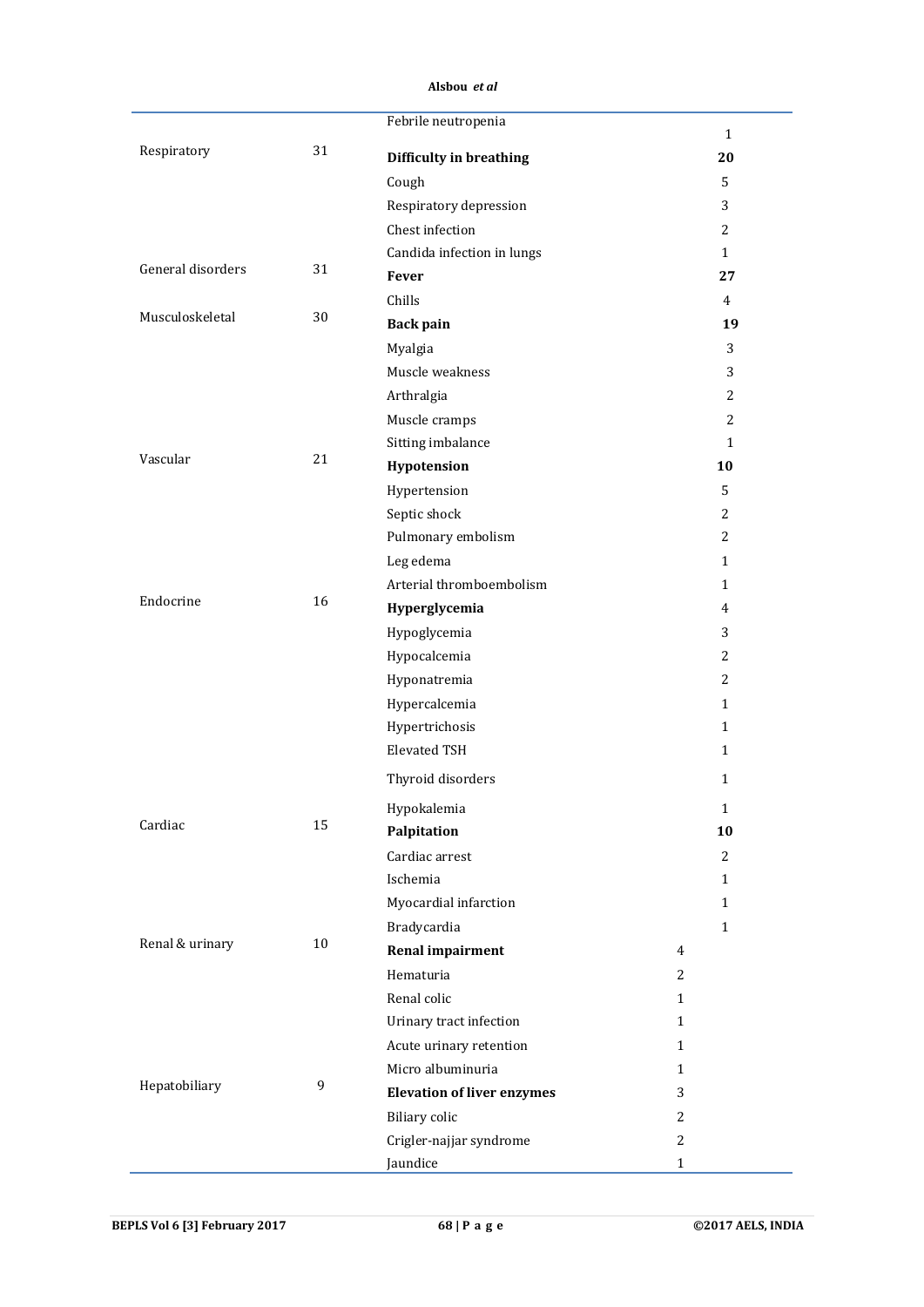|                   |        | Febrile neutropenia               |                    |
|-------------------|--------|-----------------------------------|--------------------|
| Respiratory       | 31     | Difficulty in breathing           | $\mathbf{1}$<br>20 |
|                   |        | Cough                             | 5                  |
|                   |        | Respiratory depression            | 3                  |
|                   |        | Chest infection                   | 2                  |
|                   |        | Candida infection in lungs        | $\mathbf{1}$       |
| General disorders | 31     | Fever                             | 27                 |
|                   |        | Chills                            | $\overline{4}$     |
| Musculoskeletal   | 30     | <b>Back pain</b>                  | 19                 |
|                   |        | Myalgia                           | 3                  |
|                   |        | Muscle weakness                   | 3                  |
|                   |        | Arthralgia                        | 2                  |
|                   |        | Muscle cramps                     | 2                  |
|                   |        | Sitting imbalance                 | $\mathbf{1}$       |
| Vascular          | 21     | Hypotension                       | 10                 |
|                   |        | Hypertension                      | 5                  |
|                   |        | Septic shock                      | 2                  |
|                   |        | Pulmonary embolism                | 2                  |
|                   |        | Leg edema                         | $\mathbf{1}$       |
|                   |        | Arterial thromboembolism          | $\mathbf{1}$       |
| Endocrine         | 16     | Hyperglycemia                     | $\overline{4}$     |
|                   |        | Hypoglycemia                      | 3                  |
|                   |        | Hypocalcemia                      | $\overline{2}$     |
|                   |        | Hyponatremia                      | 2                  |
|                   |        | Hypercalcemia                     | $\mathbf{1}$       |
|                   |        | Hypertrichosis                    | $\mathbf{1}$       |
|                   |        | <b>Elevated TSH</b>               | $\mathbf{1}$       |
|                   |        | Thyroid disorders                 | $\mathbf{1}$       |
|                   |        | Hypokalemia                       | $\mathbf 1$        |
| Cardiac           | 15     | Palpitation                       | 10                 |
|                   |        | Cardiac arrest                    | $\overline{2}$     |
|                   |        | Ischemia                          | $\mathbf{1}$       |
|                   |        | Myocardial infarction             | $\mathbf{1}$       |
|                   |        | Bradycardia                       | $\mathbf{1}$       |
| Renal & urinary   | $10\,$ | <b>Renal impairment</b>           | $\overline{4}$     |
|                   |        | Hematuria                         | 2                  |
|                   |        | Renal colic                       | $\mathbf{1}$       |
|                   |        | Urinary tract infection           | $\mathbf{1}$       |
|                   |        | Acute urinary retention           | $\mathbf{1}$       |
|                   |        | Micro albuminuria                 | $\mathbf{1}$       |
| Hepatobiliary     | 9      | <b>Elevation of liver enzymes</b> | 3                  |
|                   |        | <b>Biliary</b> colic              | $\overline{c}$     |
|                   |        | Crigler-najjar syndrome           | 2                  |
|                   |        | Jaundice                          | $\mathbf{1}$       |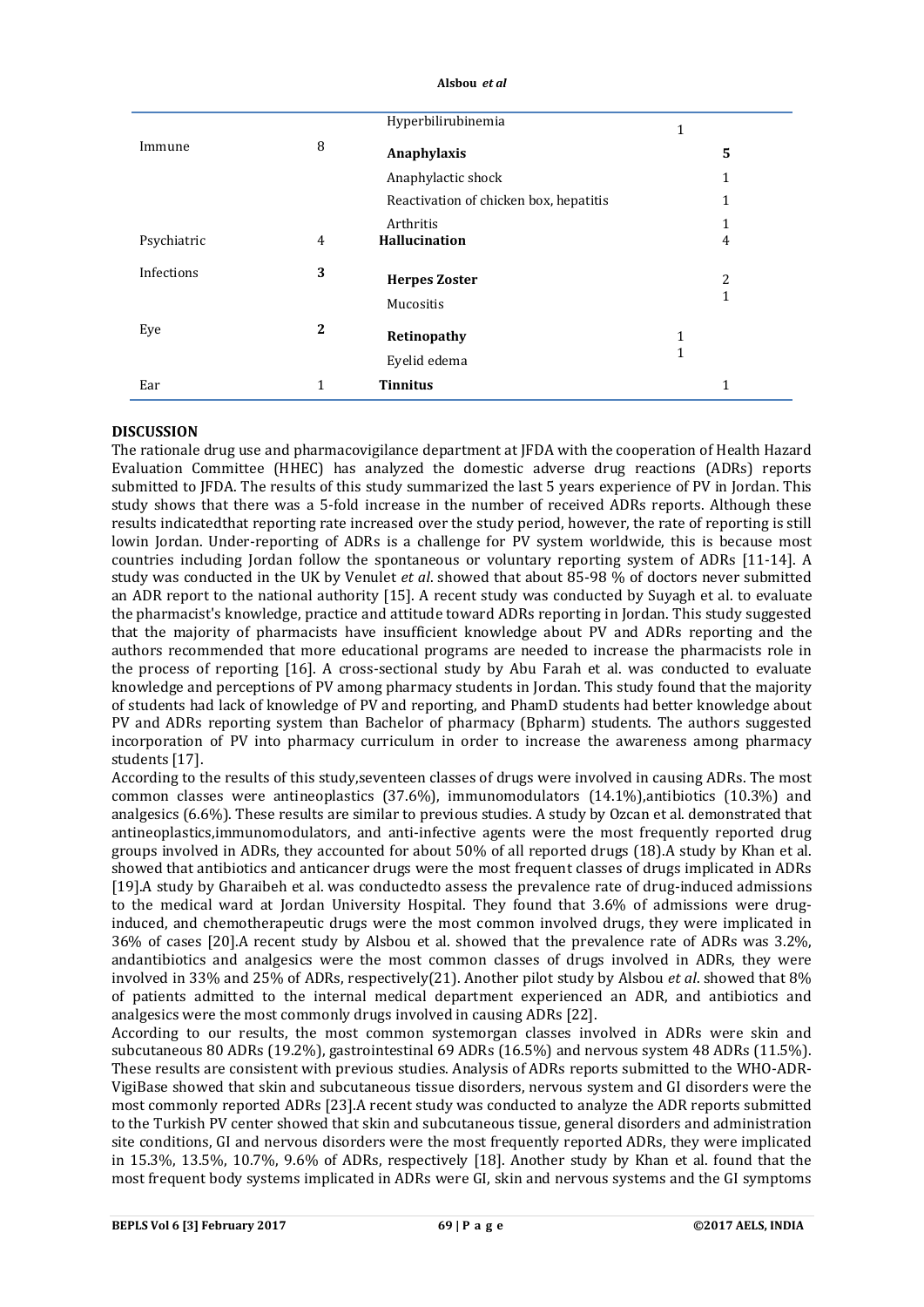|             |              | Hyperbilirubinemia                     | 1 |   |
|-------------|--------------|----------------------------------------|---|---|
| Immune      | 8            | Anaphylaxis                            |   | 5 |
|             |              | Anaphylactic shock                     |   | 1 |
|             |              | Reactivation of chicken box, hepatitis |   | 1 |
|             |              | Arthritis                              |   | 1 |
| Psychiatric | 4            | <b>Hallucination</b>                   |   | 4 |
| Infections  | 3            | <b>Herpes Zoster</b>                   |   | 2 |
|             |              | Mucositis                              |   | 1 |
| Eye         | $\mathbf{2}$ | Retinopathy                            | 1 |   |
|             |              | Eyelid edema                           | 1 |   |
| Ear         | 1            | <b>Tinnitus</b>                        |   | 1 |

#### **DISCUSSION**

The rationale drug use and pharmacovigilance department at JFDA with the cooperation of Health Hazard Evaluation Committee (HHEC) has analyzed the domestic adverse drug reactions (ADRs) reports submitted to JFDA. The results of this study summarized the last 5 years experience of PV in Jordan. This study shows that there was a 5-fold increase in the number of received ADRs reports. Although these results indicatedthat reporting rate increased over the study period, however, the rate of reporting is still lowin Jordan. Under-reporting of ADRs is a challenge for PV system worldwide, this is because most countries including Jordan follow the spontaneous or voluntary reporting system of ADRs [11-14]. A study was conducted in the UK by Venulet *et al*. showed that about 85-98 % of doctors never submitted an ADR report to the national authority [15]. A recent study was conducted by Suyagh et al. to evaluate the pharmacist's knowledge, practice and attitude toward ADRs reporting in Jordan. This study suggested that the majority of pharmacists have insufficient knowledge about PV and ADRs reporting and the authors recommended that more educational programs are needed to increase the pharmacists role in the process of reporting [16]. A cross-sectional study by Abu Farah et al. was conducted to evaluate knowledge and perceptions of PV among pharmacy students in Jordan. This study found that the majority of students had lack of knowledge of PV and reporting, and PhamD students had better knowledge about PV and ADRs reporting system than Bachelor of pharmacy (Bpharm) students. The authors suggested incorporation of PV into pharmacy curriculum in order to increase the awareness among pharmacy students [17].

According to the results of this study,seventeen classes of drugs were involved in causing ADRs. The most common classes were antineoplastics (37.6%), immunomodulators (14.1%),antibiotics (10.3%) and analgesics (6.6%). These results are similar to previous studies. A study by Ozcan et al. demonstrated that antineoplastics,immunomodulators, and anti-infective agents were the most frequently reported drug groups involved in ADRs, they accounted for about 50% of all reported drugs (18).A study by Khan et al. showed that antibiotics and anticancer drugs were the most frequent classes of drugs implicated in ADRs [19].A study by Gharaibeh et al. was conductedto assess the prevalence rate of drug-induced admissions to the medical ward at Jordan University Hospital. They found that 3.6% of admissions were druginduced, and chemotherapeutic drugs were the most common involved drugs, they were implicated in 36% of cases [20].A recent study by Alsbou et al. showed that the prevalence rate of ADRs was 3.2%, andantibiotics and analgesics were the most common classes of drugs involved in ADRs, they were involved in 33% and 25% of ADRs, respectively(21). Another pilot study by Alsbou *et al*. showed that 8% of patients admitted to the internal medical department experienced an ADR, and antibiotics and analgesics were the most commonly drugs involved in causing ADRs [22].

According to our results, the most common systemorgan classes involved in ADRs were skin and subcutaneous 80 ADRs (19.2%), gastrointestinal 69 ADRs (16.5%) and nervous system 48 ADRs (11.5%). These results are consistent with previous studies. Analysis of ADRs reports submitted to the WHO-ADR-VigiBase showed that skin and subcutaneous tissue disorders, nervous system and GI disorders were the most commonly reported ADRs [23].A recent study was conducted to analyze the ADR reports submitted to the Turkish PV center showed that skin and subcutaneous tissue, general disorders and administration site conditions, GI and nervous disorders were the most frequently reported ADRs, they were implicated in 15.3%, 13.5%, 10.7%, 9.6% of ADRs, respectively [18]. Another study by Khan et al. found that the most frequent body systems implicated in ADRs were GI, skin and nervous systems and the GI symptoms